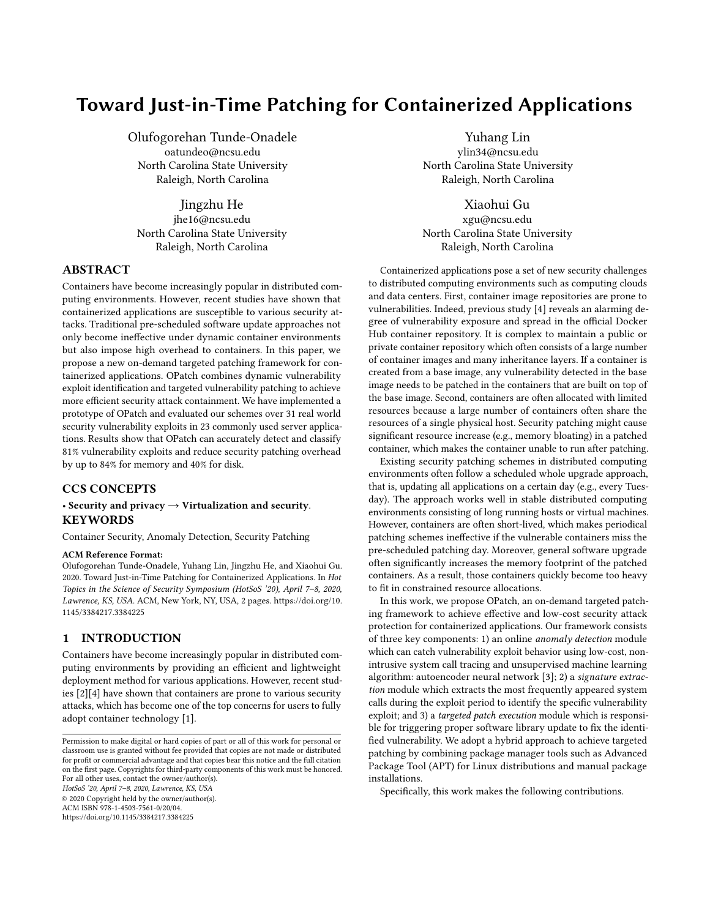# Toward Just-in-Time Patching for Containerized Applications

Olufogorehan Tunde-Onadele oatundeo@ncsu.edu North Carolina State University Raleigh, North Carolina

Jingzhu He

jhe16@ncsu.edu North Carolina State University Raleigh, North Carolina

## ABSTRACT

Containers have become increasingly popular in distributed computing environments. However, recent studies have shown that containerized applications are susceptible to various security attacks. Traditional pre-scheduled software update approaches not only become ineffective under dynamic container environments but also impose high overhead to containers. In this paper, we propose a new on-demand targeted patching framework for containerized applications. OPatch combines dynamic vulnerability exploit identification and targeted vulnerability patching to achieve more efficient security attack containment. We have implemented a prototype of OPatch and evaluated our schemes over 31 real world security vulnerability exploits in 23 commonly used server applications. Results show that OPatch can accurately detect and classify 81% vulnerability exploits and reduce security patching overhead by up to 84% for memory and 40% for disk.

## CCS CONCEPTS

## • Security and privacy  $\rightarrow$  Virtualization and security. **KEYWORDS**

Container Security, Anomaly Detection, Security Patching

#### ACM Reference Format:

Olufogorehan Tunde-Onadele, Yuhang Lin, Jingzhu He, and Xiaohui Gu. 2020. Toward Just-in-Time Patching for Containerized Applications. In Hot Topics in the Science of Security Symposium (HotSoS '20), April 7–8, 2020, Lawrence, KS, USA. ACM, New York, NY, USA, [2](#page-1-0) pages. [https://doi.org/10.](https://doi.org/10.1145/3384217.3384225) [1145/3384217.3384225](https://doi.org/10.1145/3384217.3384225)

# 1 INTRODUCTION

Containers have become increasingly popular in distributed computing environments by providing an efficient and lightweight deployment method for various applications. However, recent studies [\[2\]](#page-1-1)[\[4\]](#page-1-2) have shown that containers are prone to various security attacks, which has become one of the top concerns for users to fully adopt container technology [\[1\]](#page-1-3).

HotSoS '20, April 7–8, 2020, Lawrence, KS, USA

© 2020 Copyright held by the owner/author(s).

ACM ISBN 978-1-4503-7561-0/20/04.

<https://doi.org/10.1145/3384217.3384225>

Yuhang Lin ylin34@ncsu.edu North Carolina State University Raleigh, North Carolina

Xiaohui Gu xgu@ncsu.edu North Carolina State University Raleigh, North Carolina

Containerized applications pose a set of new security challenges to distributed computing environments such as computing clouds and data centers. First, container image repositories are prone to vulnerabilities. Indeed, previous study [\[4\]](#page-1-2) reveals an alarming degree of vulnerability exposure and spread in the official Docker Hub container repository. It is complex to maintain a public or private container repository which often consists of a large number of container images and many inheritance layers. If a container is created from a base image, any vulnerability detected in the base image needs to be patched in the containers that are built on top of the base image. Second, containers are often allocated with limited resources because a large number of containers often share the resources of a single physical host. Security patching might cause significant resource increase (e.g., memory bloating) in a patched container, which makes the container unable to run after patching.

Existing security patching schemes in distributed computing environments often follow a scheduled whole upgrade approach, that is, updating all applications on a certain day (e.g., every Tuesday). The approach works well in stable distributed computing environments consisting of long running hosts or virtual machines. However, containers are often short-lived, which makes periodical patching schemes ineffective if the vulnerable containers miss the pre-scheduled patching day. Moreover, general software upgrade often significantly increases the memory footprint of the patched containers. As a result, those containers quickly become too heavy to fit in constrained resource allocations.

In this work, we propose OPatch, an on-demand targeted patching framework to achieve effective and low-cost security attack protection for containerized applications. Our framework consists of three key components: 1) an online anomaly detection module which can catch vulnerability exploit behavior using low-cost, nonintrusive system call tracing and unsupervised machine learning algorithm: autoencoder neural network [\[3\]](#page-1-4); 2) a signature extraction module which extracts the most frequently appeared system calls during the exploit period to identify the specific vulnerability exploit; and 3) a targeted patch execution module which is responsible for triggering proper software library update to fix the identified vulnerability. We adopt a hybrid approach to achieve targeted patching by combining package manager tools such as Advanced Package Tool (APT) for Linux distributions and manual package installations.

Specifically, this work makes the following contributions.

Permission to make digital or hard copies of part or all of this work for personal or classroom use is granted without fee provided that copies are not made or distributed for profit or commercial advantage and that copies bear this notice and the full citation on the first page. Copyrights for third-party components of this work must be honored. For all other uses, contact the owner/author(s).